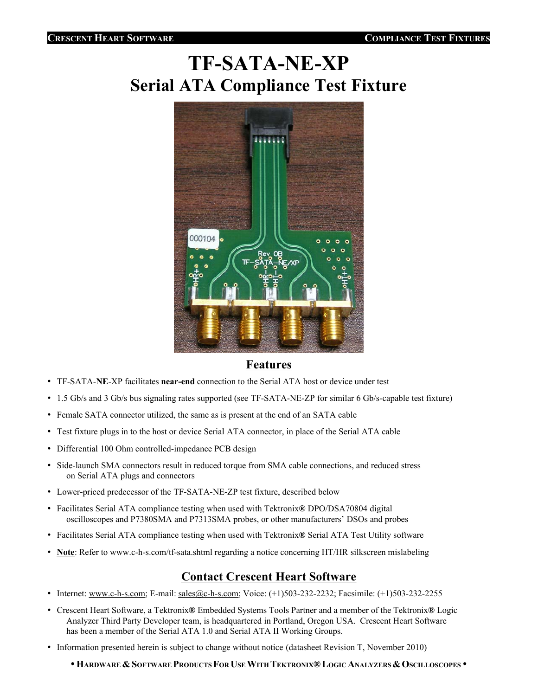# **TF-SATA-NE-XP Serial ATA Compliance Test Fixture**



#### **Features**

- TF-SATA-**NE**-XP facilitates **near-end** connection to the Serial ATA host or device under test
- 1.5 Gb/s and 3 Gb/s bus signaling rates supported (see TF-SATA-NE-ZP for similar 6 Gb/s-capable test fixture)
- Female SATA connector utilized, the same as is present at the end of an SATA cable
- Test fixture plugs in to the host or device Serial ATA connector, in place of the Serial ATA cable
- Differential 100 Ohm controlled-impedance PCB design
- Side-launch SMA connectors result in reduced torque from SMA cable connections, and reduced stress on Serial ATA plugs and connectors
- Lower-priced predecessor of the TF-SATA-NE-ZP test fixture, described below
- Facilitates Serial ATA compliance testing when used with Tektronix**®** DPO/DSA70804 digital oscilloscopes and P7380SMA and P7313SMA probes, or other manufacturers' DSOs and probes
- Facilitates Serial ATA compliance testing when used with Tektronix**®** Serial ATA Test Utility software
- **Note**: Refer to www.c-h-s.com/tf-sata.shtml regarding a notice concerning HT/HR silkscreen mislabeling

## **Contact Crescent Heart Software**

- Internet: www.c-h-s.com; E-mail: sales@c-h-s.com; Voice: (+1)503-232-2232; Facsimile: (+1)503-232-2255
- Crescent Heart Software, a Tektronix**®** Embedded Systems Tools Partner and a member of the Tektronix**®** Logic Analyzer Third Party Developer team, is headquartered in Portland, Oregon USA. Crescent Heart Software has been a member of the Serial ATA 1.0 and Serial ATA II Working Groups.
- Information presented herein is subject to change without notice (datasheet Revision T, November 2010)
	- w**HARDWARE&SOFTWARE PRODUCTSFOR USEWITH TEKTRONIX®LOGIC ANALYZERS&OSCILLOSCOPES** w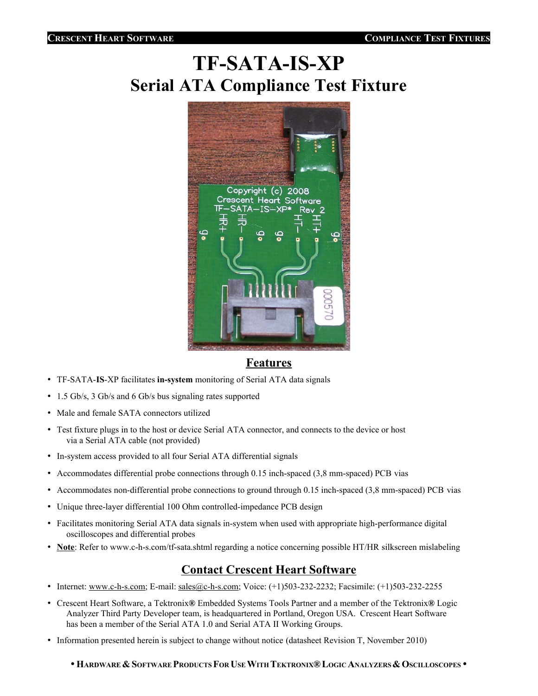# **TF-SATA-IS-XP Serial ATA Compliance Test Fixture**



#### **Features**

- TF-SATA-**IS**-XP facilitates **in-system** monitoring of Serial ATA data signals
- 1.5 Gb/s, 3 Gb/s and 6 Gb/s bus signaling rates supported
- Male and female SATA connectors utilized
- Test fixture plugs in to the host or device Serial ATA connector, and connects to the device or host via a Serial ATA cable (not provided)
- In-system access provided to all four Serial ATA differential signals
- Accommodates differential probe connections through 0.15 inch-spaced (3,8 mm-spaced) PCB vias
- Accommodates non-differential probe connections to ground through 0.15 inch-spaced (3,8 mm-spaced) PCB vias
- Unique three-layer differential 100 Ohm controlled-impedance PCB design
- Facilitates monitoring Serial ATA data signals in-system when used with appropriate high-performance digital oscilloscopes and differential probes
- **Note**: Refer to www.c-h-s.com/tf-sata.shtml regarding a notice concerning possible HT/HR silkscreen mislabeling

## **Contact Crescent Heart Software**

- Internet: www.c-h-s.com; E-mail: sales@c-h-s.com; Voice: (+1)503-232-2232; Facsimile: (+1)503-232-2255
- Crescent Heart Software, a Tektronix**®** Embedded Systems Tools Partner and a member of the Tektronix**®** Logic Analyzer Third Party Developer team, is headquartered in Portland, Oregon USA. Crescent Heart Software has been a member of the Serial ATA 1.0 and Serial ATA II Working Groups.
- Information presented herein is subject to change without notice (datasheet Revision T, November 2010)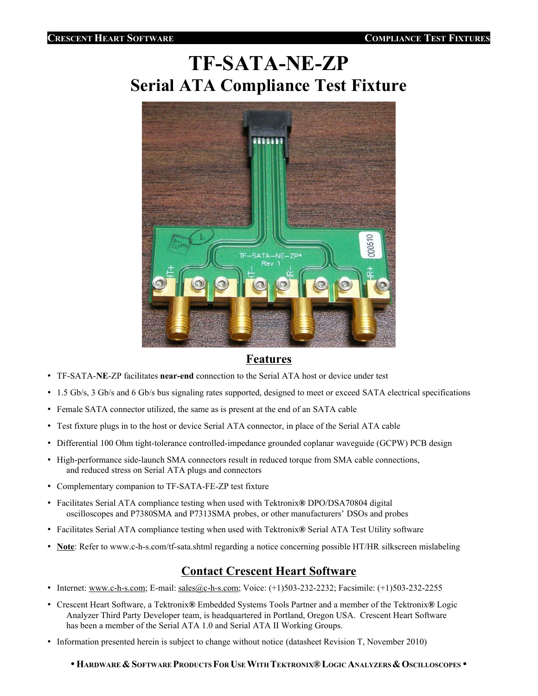# **TF-SATA-NE-ZP Serial ATA Compliance Test Fixture**



## **Features**

- TF-SATA-**NE**-ZP facilitates **near-end** connection to the Serial ATA host or device under test
- 1.5 Gb/s, 3 Gb/s and 6 Gb/s bus signaling rates supported, designed to meet or exceed SATA electrical specifications
- Female SATA connector utilized, the same as is present at the end of an SATA cable
- Test fixture plugs in to the host or device Serial ATA connector, in place of the Serial ATA cable
- Differential 100 Ohm tight-tolerance controlled-impedance grounded coplanar waveguide (GCPW) PCB design
- High-performance side-launch SMA connectors result in reduced torque from SMA cable connections, and reduced stress on Serial ATA plugs and connectors
- Complementary companion to TF-SATA-FE-ZP test fixture
- Facilitates Serial ATA compliance testing when used with Tektronix**®** DPO/DSA70804 digital oscilloscopes and P7380SMA and P7313SMA probes, or other manufacturers' DSOs and probes
- Facilitates Serial ATA compliance testing when used with Tektronix**®** Serial ATA Test Utility software
- **Note**: Refer to www.c-h-s.com/tf-sata.shtml regarding a notice concerning possible HT/HR silkscreen mislabeling

## **Contact Crescent Heart Software**

- Internet: www.c-h-s.com; E-mail: sales@c-h-s.com; Voice: (+1)503-232-2232; Facsimile: (+1)503-232-2255
- Crescent Heart Software, a Tektronix**®** Embedded Systems Tools Partner and a member of the Tektronix**®** Logic Analyzer Third Party Developer team, is headquartered in Portland, Oregon USA. Crescent Heart Software has been a member of the Serial ATA 1.0 and Serial ATA II Working Groups.
- Information presented herein is subject to change without notice (datasheet Revision T, November 2010)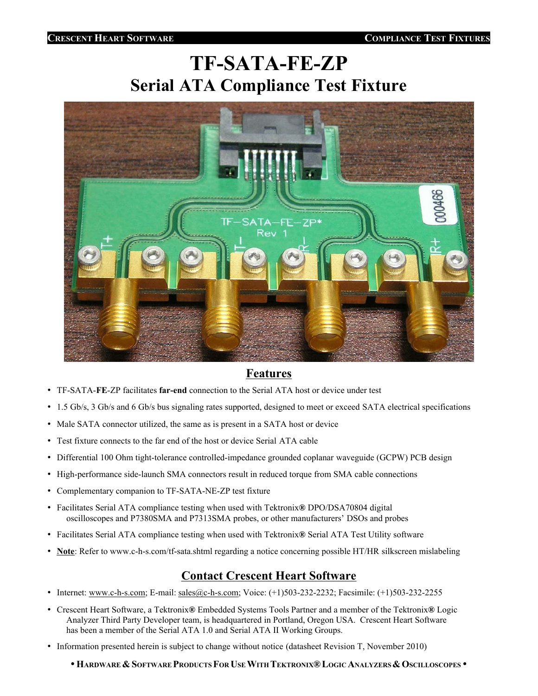# **TF-SATA-FE-ZP Serial ATA Compliance Test Fixture**



## **Features**

- TF-SATA-**FE**-ZP facilitates **far-end** connection to the Serial ATA host or device under test
- 1.5 Gb/s, 3 Gb/s and 6 Gb/s bus signaling rates supported, designed to meet or exceed SATA electrical specifications
- Male SATA connector utilized, the same as is present in a SATA host or device
- Test fixture connects to the far end of the host or device Serial ATA cable
- Differential 100 Ohm tight-tolerance controlled-impedance grounded coplanar waveguide (GCPW) PCB design
- High-performance side-launch SMA connectors result in reduced torque from SMA cable connections
- Complementary companion to TF-SATA-NE-ZP test fixture
- Facilitates Serial ATA compliance testing when used with Tektronix**®** DPO/DSA70804 digital oscilloscopes and P7380SMA and P7313SMA probes, or other manufacturers' DSOs and probes
- Facilitates Serial ATA compliance testing when used with Tektronix**®** Serial ATA Test Utility software
- **Note**: Refer to www.c-h-s.com/tf-sata.shtml regarding a notice concerning possible HT/HR silkscreen mislabeling

## **Contact Crescent Heart Software**

- Internet: www.c-h-s.com; E-mail: sales@c-h-s.com; Voice: (+1)503-232-2232; Facsimile: (+1)503-232-2255
- Crescent Heart Software, a Tektronix**®** Embedded Systems Tools Partner and a member of the Tektronix**®** Logic Analyzer Third Party Developer team, is headquartered in Portland, Oregon USA. Crescent Heart Software has been a member of the Serial ATA 1.0 and Serial ATA II Working Groups.
- Information presented herein is subject to change without notice (datasheet Revision T, November 2010)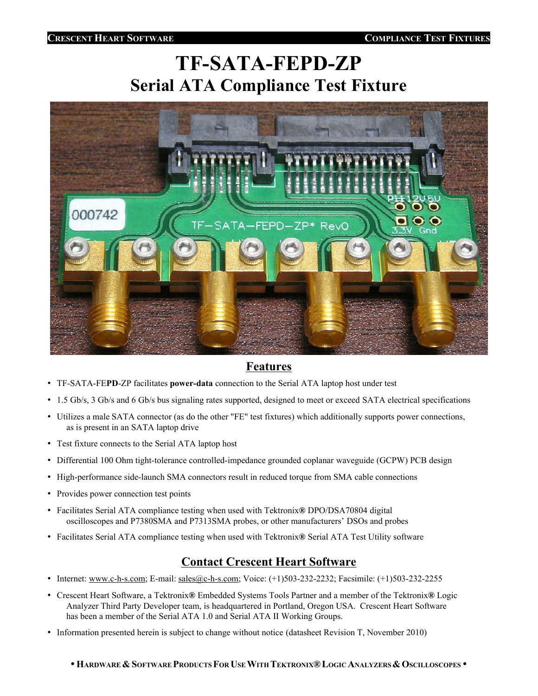# **TF-SATA-FEPD-ZP Serial ATA Compliance Test Fixture**



## **Features**

- TF-SATA-FE**PD**-ZP facilitates **power-data** connection to the Serial ATA laptop host under test
- 1.5 Gb/s, 3 Gb/s and 6 Gb/s bus signaling rates supported, designed to meet or exceed SATA electrical specifications
- Utilizes a male SATA connector (as do the other "FE" test fixtures) which additionally supports power connections, as is present in an SATA laptop drive
- Test fixture connects to the Serial ATA laptop host
- Differential 100 Ohm tight-tolerance controlled-impedance grounded coplanar waveguide (GCPW) PCB design
- High-performance side-launch SMA connectors result in reduced torque from SMA cable connections
- Provides power connection test points
- Facilitates Serial ATA compliance testing when used with Tektronix**®** DPO/DSA70804 digital oscilloscopes and P7380SMA and P7313SMA probes, or other manufacturers' DSOs and probes
- Facilitates Serial ATA compliance testing when used with Tektronix**®** Serial ATA Test Utility software

# **Contact Crescent Heart Software**

- Internet: www.c-h-s.com; E-mail: sales@c-h-s.com; Voice: (+1)503-232-2232; Facsimile: (+1)503-232-2255
- Crescent Heart Software, a Tektronix**®** Embedded Systems Tools Partner and a member of the Tektronix**®** Logic Analyzer Third Party Developer team, is headquartered in Portland, Oregon USA. Crescent Heart Software has been a member of the Serial ATA 1.0 and Serial ATA II Working Groups.
- Information presented herein is subject to change without notice (datasheet Revision T, November 2010)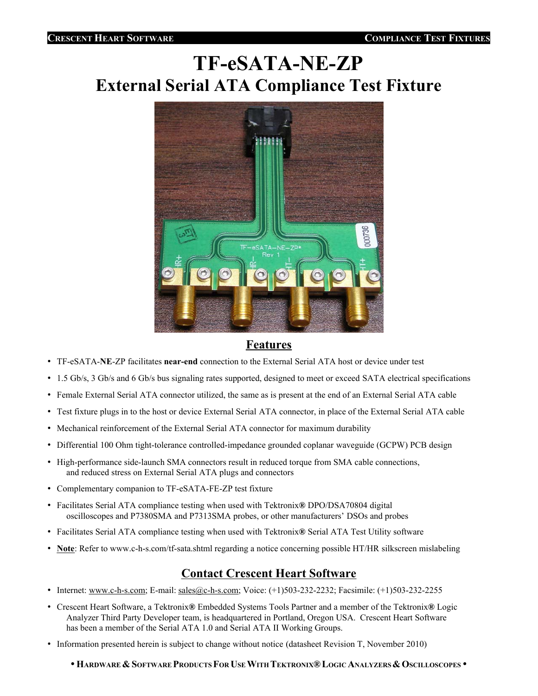# **TF-eSATA-NE-ZP External Serial ATA Compliance Test Fixture**



## **Features**

- TF-eSATA-**NE**-ZP facilitates **near-end** connection to the External Serial ATA host or device under test
- 1.5 Gb/s, 3 Gb/s and 6 Gb/s bus signaling rates supported, designed to meet or exceed SATA electrical specifications
- Female External Serial ATA connector utilized, the same as is present at the end of an External Serial ATA cable
- Test fixture plugs in to the host or device External Serial ATA connector, in place of the External Serial ATA cable
- Mechanical reinforcement of the External Serial ATA connector for maximum durability
- Differential 100 Ohm tight-tolerance controlled-impedance grounded coplanar waveguide (GCPW) PCB design
- High-performance side-launch SMA connectors result in reduced torque from SMA cable connections, and reduced stress on External Serial ATA plugs and connectors
- Complementary companion to TF-eSATA-FE-ZP test fixture
- Facilitates Serial ATA compliance testing when used with Tektronix**®** DPO/DSA70804 digital oscilloscopes and P7380SMA and P7313SMA probes, or other manufacturers' DSOs and probes
- Facilitates Serial ATA compliance testing when used with Tektronix**®** Serial ATA Test Utility software
- **Note**: Refer to www.c-h-s.com/tf-sata.shtml regarding a notice concerning possible HT/HR silkscreen mislabeling

## **Contact Crescent Heart Software**

- Internet: www.c-h-s.com; E-mail: sales@c-h-s.com; Voice: (+1)503-232-2232; Facsimile: (+1)503-232-2255
- Crescent Heart Software, a Tektronix**®** Embedded Systems Tools Partner and a member of the Tektronix**®** Logic Analyzer Third Party Developer team, is headquartered in Portland, Oregon USA. Crescent Heart Software has been a member of the Serial ATA 1.0 and Serial ATA II Working Groups.
- Information presented herein is subject to change without notice (datasheet Revision T, November 2010)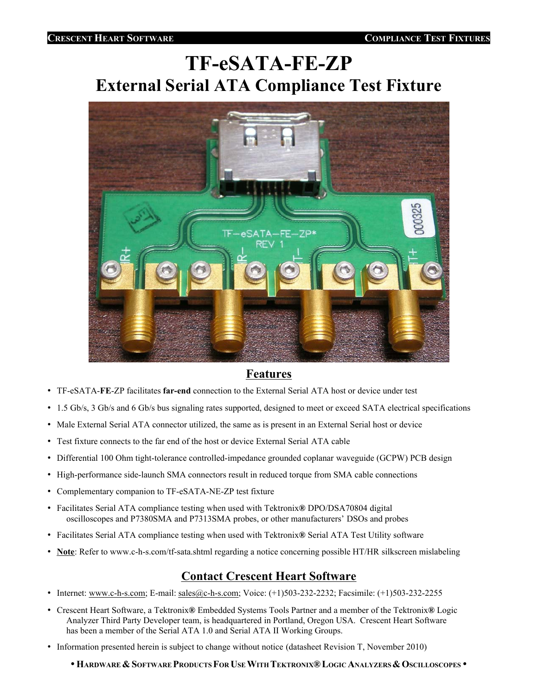# **TF-eSATA-FE-ZP External Serial ATA Compliance Test Fixture**



## **Features**

- TF-eSATA-**FE**-ZP facilitates **far-end** connection to the External Serial ATA host or device under test
- 1.5 Gb/s, 3 Gb/s and 6 Gb/s bus signaling rates supported, designed to meet or exceed SATA electrical specifications
- Male External Serial ATA connector utilized, the same as is present in an External Serial host or device
- Test fixture connects to the far end of the host or device External Serial ATA cable
- Differential 100 Ohm tight-tolerance controlled-impedance grounded coplanar waveguide (GCPW) PCB design
- High-performance side-launch SMA connectors result in reduced torque from SMA cable connections
- Complementary companion to TF-eSATA-NE-ZP test fixture
- Facilitates Serial ATA compliance testing when used with Tektronix**®** DPO/DSA70804 digital oscilloscopes and P7380SMA and P7313SMA probes, or other manufacturers' DSOs and probes
- Facilitates Serial ATA compliance testing when used with Tektronix**®** Serial ATA Test Utility software
- **Note**: Refer to www.c-h-s.com/tf-sata.shtml regarding a notice concerning possible HT/HR silkscreen mislabeling

# **Contact Crescent Heart Software**

- Internet: www.c-h-s.com; E-mail: sales@c-h-s.com; Voice: (+1)503-232-2232; Facsimile: (+1)503-232-2255
- Crescent Heart Software, a Tektronix**®** Embedded Systems Tools Partner and a member of the Tektronix**®** Logic Analyzer Third Party Developer team, is headquartered in Portland, Oregon USA. Crescent Heart Software has been a member of the Serial ATA 1.0 and Serial ATA II Working Groups.
- Information presented herein is subject to change without notice (datasheet Revision T, November 2010)